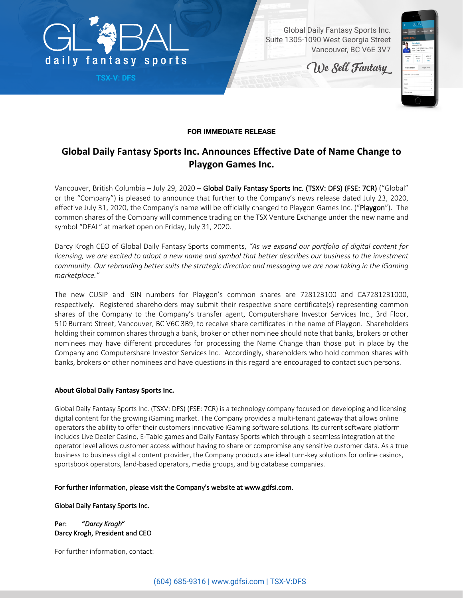

**TSX-V: DFS**

Global Daily Fantasy Sports Inc. Suite 1305-1090 West Georgia Street Vancouver, BC V6E 3V7

We Sell Fantasy



## **FOR IMMEDIATE RELEASE**

## **Global Daily Fantasy Sports Inc. Announces Effective Date of Name Change to Playgon Games Inc.**

Vancouver, British Columbia – July 29, 2020 – Global Daily Fantasy Sports Inc. (TSXV: DFS) (FSE: 7CR) ("Global" or the "Company") is pleased to announce that further to the Company's news release dated July 23, 2020, effective July 31, 2020, the Company's name will be officially changed to Playgon Games Inc. ("Playgon"). The common shares of the Company will commence trading on the TSX Venture Exchange under the new name and symbol "DEAL" at market open on Friday, July 31, 2020.

Darcy Krogh CEO of Global Daily Fantasy Sports comments, *"As we expand our portfolio of digital content for licensing, we are excited to adopt a new name and symbol that better describes our business to the investment community. Our rebranding better suits the strategic direction and messaging we are now taking in the iGaming marketplace."*

The new CUSIP and ISIN numbers for Playgon's common shares are 728123100 and CA7281231000, respectively. Registered shareholders may submit their respective share certificate(s) representing common shares of the Company to the Company's transfer agent, Computershare Investor Services Inc., 3rd Floor, 510 Burrard Street, Vancouver, BC V6C 3B9, to receive share certificates in the name of Playgon. Shareholders holding their common shares through a bank, broker or other nominee should note that banks, brokers or other nominees may have different procedures for processing the Name Change than those put in place by the Company and Computershare Investor Services Inc. Accordingly, shareholders who hold common shares with banks, brokers or other nominees and have questions in this regard are encouraged to contact such persons.

## **About Global Daily Fantasy Sports Inc.**

Global Daily Fantasy Sports Inc. (TSXV: DFS) (FSE: 7CR) is a technology company focused on developing and licensing digital content for the growing iGaming market. The Company provides a multi-tenant gateway that allows online operators the ability to offer their customers innovative iGaming software solutions. Its current software platform includes Live Dealer Casino, E-Table games and Daily Fantasy Sports which through a seamless integration at the operator level allows customer access without having to share or compromise any sensitive customer data. As a true business to business digital content provider, the Company products are ideal turn-key solutions for online casinos, sportsbook operators, land-based operators, media groups, and big database companies.

## For further information, please visit the Company's website at www.gdfsi.com.

Global Daily Fantasy Sports Inc.

Per: "*Darcy Krogh*" Darcy Krogh, President and CEO

For further information, contact: